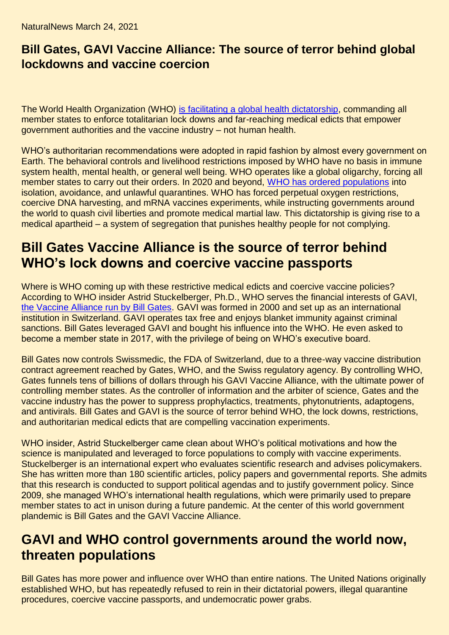NaturalNews March 24, 2021

## **Bill Gates, GAVI Vaccine Alliance: The source of terror behind global lockdowns and vaccine coercion**

The World Health Organization (WHO) [is facilitating a global health dictatorship,](https://www.lifesitenews.com/opinion/who-insider-blows-whistle-on-gates-and-gavi) commanding all member states to enforce totalitarian lock downs and far-reaching medical edicts that empower government authorities and the vaccine industry – not human health.

WHO's authoritarian recommendations were adopted in rapid fashion by almost every government on Earth. The behavioral controls and livelihood restrictions imposed by WHO have no basis in immune system health, mental health, or general well being. WHO operates like a global oligarchy, forcing all member states to carry out their orders. In 2020 and beyond, [WHO has ordered populations](https://www.naturalnews.com/2020-10-09-who-tangled-up-in-big-pharmas-web-of-influence.html) into isolation, avoidance, and unlawful quarantines. WHO has forced perpetual oxygen restrictions, coercive DNA harvesting, and mRNA vaccines experiments, while instructing governments around the world to quash civil liberties and promote medical martial law. This dictatorship is giving rise to a medical apartheid – a system of segregation that punishes healthy people for not complying.

## **Bill Gates Vaccine Alliance is the source of terror behind WHO's lock downs and coercive vaccine passports**

Where is WHO coming up with these restrictive medical edicts and coercive vaccine policies? According to WHO insider Astrid Stuckelberger, Ph.D., WHO serves the financial interests of GAVI, [the Vaccine Alliance run by Bill Gates.](https://www.gavi.org/our-alliance/governance) GAVI was formed in 2000 and set up as an international institution in Switzerland. GAVI operates tax free and enjoys blanket immunity against criminal sanctions. Bill Gates leveraged GAVI and bought his influence into the WHO. He even asked to become a member state in 2017, with the privilege of being on WHO's executive board.

Bill Gates now controls Swissmedic, the FDA of Switzerland, due to a three-way vaccine distribution contract agreement reached by Gates, WHO, and the Swiss regulatory agency. By controlling WHO, Gates funnels tens of billions of dollars through his GAVI Vaccine Alliance, with the ultimate power of controlling member states. As the controller of information and the arbiter of science, Gates and the vaccine industry has the power to suppress prophylactics, treatments, phytonutrients, adaptogens, and antivirals. Bill Gates and GAVI is the source of terror behind WHO, the lock downs, restrictions, and authoritarian medical edicts that are compelling vaccination experiments.

WHO insider, Astrid Stuckelberger came clean about WHO's political motivations and how the science is manipulated and leveraged to force populations to comply with vaccine experiments. Stuckelberger is an international expert who evaluates scientific research and advises policymakers. She has written more than 180 scientific articles, policy papers and governmental reports. She admits that this research is conducted to support political agendas and to justify government policy. Since 2009, she managed WHO's international health regulations, which were primarily used to prepare member states to act in unison during a future pandemic. At the center of this world government plandemic is Bill Gates and the GAVI Vaccine Alliance.

## **GAVI and WHO control governments around the world now, threaten populations**

Bill Gates has more power and influence over WHO than entire nations. The United Nations originally established WHO, but has repeatedly refused to rein in their dictatorial powers, illegal quarantine procedures, coercive vaccine passports, and undemocratic power grabs.